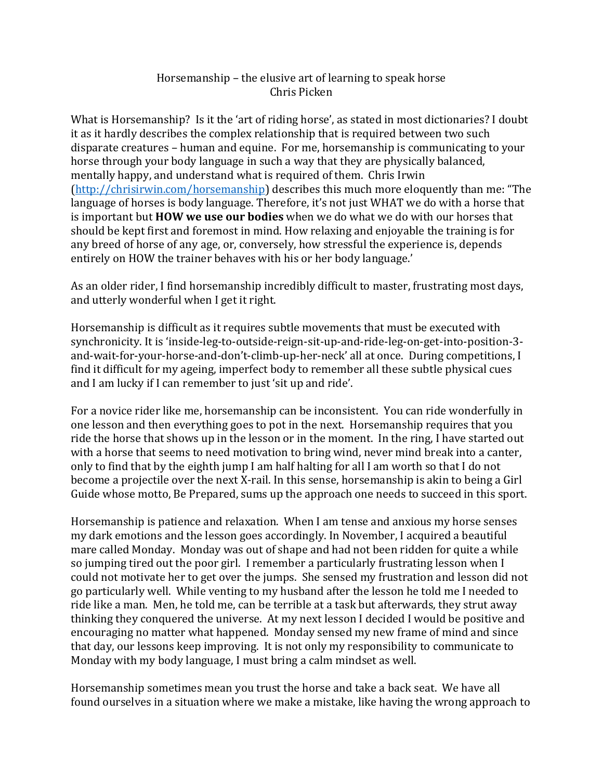## Horsemanship – the elusive art of learning to speak horse Chris Picken

What is Horsemanship? Is it the 'art of riding horse', as stated in most dictionaries? I doubt it as it hardly describes the complex relationship that is required between two such disparate creatures – human and equine. For me, horsemanship is communicating to your horse through your body language in such a way that they are physically balanced, mentally happy, and understand what is required of them. Chris Irwin [\(http://chrisirwin.com/horsemanship\)](http://chrisirwin.com/horsemanship) describes this much more eloquently than me: "The language of horses is body language. Therefore, it's not just WHAT we do with a horse that is important but **HOW we use our bodies** when we do what we do with our horses that should be kept first and foremost in mind. How relaxing and enjoyable the training is for any breed of horse of any age, or, conversely, how stressful the experience is, depends entirely on HOW the trainer behaves with his or her body language.'

As an older rider, I find horsemanship incredibly difficult to master, frustrating most days, and utterly wonderful when I get it right.

Horsemanship is difficult as it requires subtle movements that must be executed with synchronicity. It is 'inside-leg-to-outside-reign-sit-up-and-ride-leg-on-get-into-position-3 and-wait-for-your-horse-and-don't-climb-up-her-neck' all at once. During competitions, I find it difficult for my ageing, imperfect body to remember all these subtle physical cues and I am lucky if I can remember to just 'sit up and ride'.

For a novice rider like me, horsemanship can be inconsistent. You can ride wonderfully in one lesson and then everything goes to pot in the next. Horsemanship requires that you ride the horse that shows up in the lesson or in the moment. In the ring, I have started out with a horse that seems to need motivation to bring wind, never mind break into a canter, only to find that by the eighth jump I am half halting for all I am worth so that I do not become a projectile over the next X-rail. In this sense, horsemanship is akin to being a Girl Guide whose motto, Be Prepared, sums up the approach one needs to succeed in this sport.

Horsemanship is patience and relaxation. When I am tense and anxious my horse senses my dark emotions and the lesson goes accordingly. In November, I acquired a beautiful mare called Monday. Monday was out of shape and had not been ridden for quite a while so jumping tired out the poor girl. I remember a particularly frustrating lesson when I could not motivate her to get over the jumps. She sensed my frustration and lesson did not go particularly well. While venting to my husband after the lesson he told me I needed to ride like a man. Men, he told me, can be terrible at a task but afterwards, they strut away thinking they conquered the universe. At my next lesson I decided I would be positive and encouraging no matter what happened. Monday sensed my new frame of mind and since that day, our lessons keep improving. It is not only my responsibility to communicate to Monday with my body language, I must bring a calm mindset as well.

Horsemanship sometimes mean you trust the horse and take a back seat. We have all found ourselves in a situation where we make a mistake, like having the wrong approach to